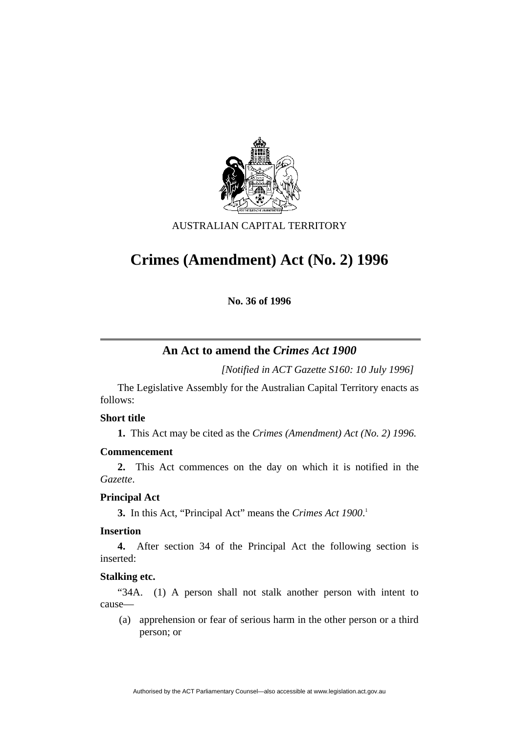

### AUSTRALIAN CAPITAL TERRITORY

# **Crimes (Amendment) Act (No. 2) 1996**

**No. 36 of 1996** 

## **An Act to amend the** *Crimes Act 1900*

*[Notified in ACT Gazette S160: 10 July 1996]*

 The Legislative Assembly for the Australian Capital Territory enacts as follows:

#### **Short title**

**1.** This Act may be cited as the *Crimes (Amendment) Act (No. 2) 1996.*

#### **Commencement**

**2.** This Act commences on the day on which it is notified in the *Gazette*.

#### **Principal Act**

**3.** In this Act, "Principal Act" means the *Crimes Act 1900*. 1

#### **Insertion**

**4.** After section 34 of the Principal Act the following section is inserted:

#### **Stalking etc.**

"34A. (1) A person shall not stalk another person with intent to cause—

 (a) apprehension or fear of serious harm in the other person or a third person; or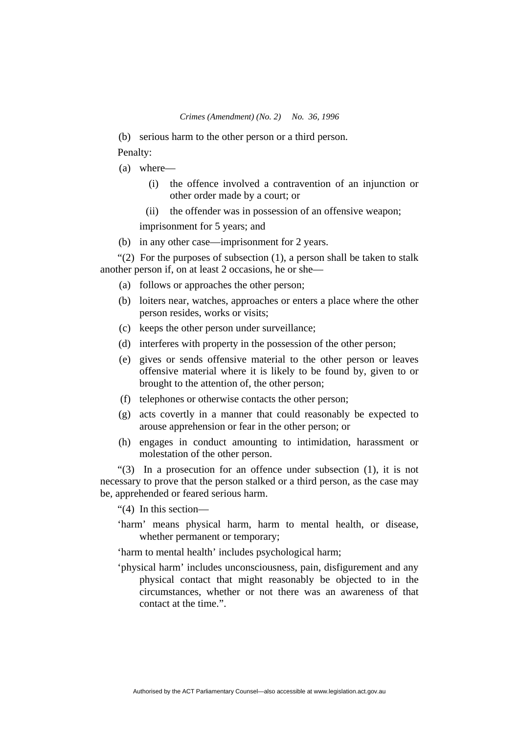(b) serious harm to the other person or a third person.

Penalty:

- (a) where—
	- (i) the offence involved a contravention of an injunction or other order made by a court; or
	- (ii) the offender was in possession of an offensive weapon;

imprisonment for 5 years; and

(b) in any other case—imprisonment for 2 years.

"(2) For the purposes of subsection  $(1)$ , a person shall be taken to stalk another person if, on at least 2 occasions, he or she—

- (a) follows or approaches the other person;
- (b) loiters near, watches, approaches or enters a place where the other person resides, works or visits;
- (c) keeps the other person under surveillance;
- (d) interferes with property in the possession of the other person;
- (e) gives or sends offensive material to the other person or leaves offensive material where it is likely to be found by, given to or brought to the attention of, the other person;
- (f) telephones or otherwise contacts the other person;
- (g) acts covertly in a manner that could reasonably be expected to arouse apprehension or fear in the other person; or
- (h) engages in conduct amounting to intimidation, harassment or molestation of the other person.

"(3) In a prosecution for an offence under subsection (1), it is not necessary to prove that the person stalked or a third person, as the case may be, apprehended or feared serious harm.

"(4) In this section—

'harm' means physical harm, harm to mental health, or disease, whether permanent or temporary;

'harm to mental health' includes psychological harm;

'physical harm' includes unconsciousness, pain, disfigurement and any physical contact that might reasonably be objected to in the circumstances, whether or not there was an awareness of that contact at the time.".